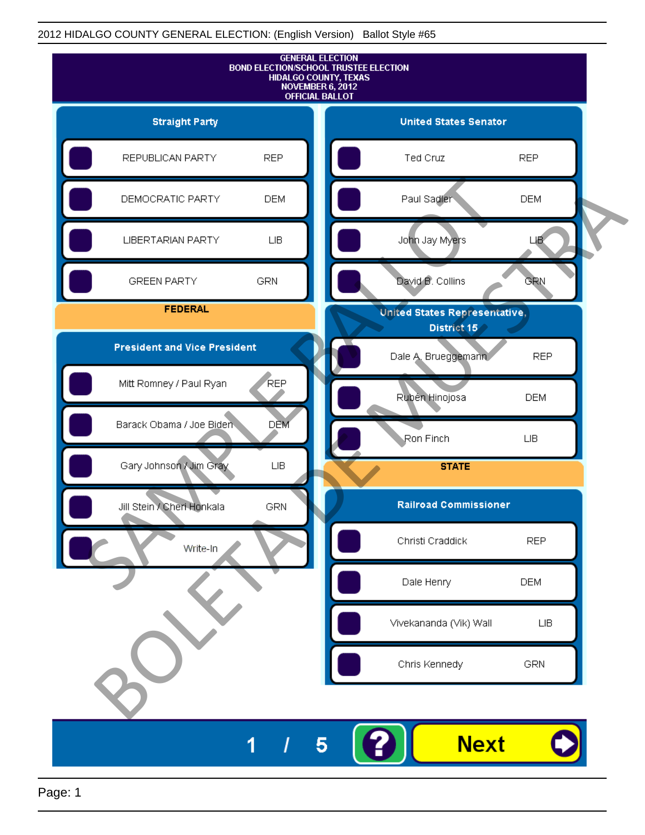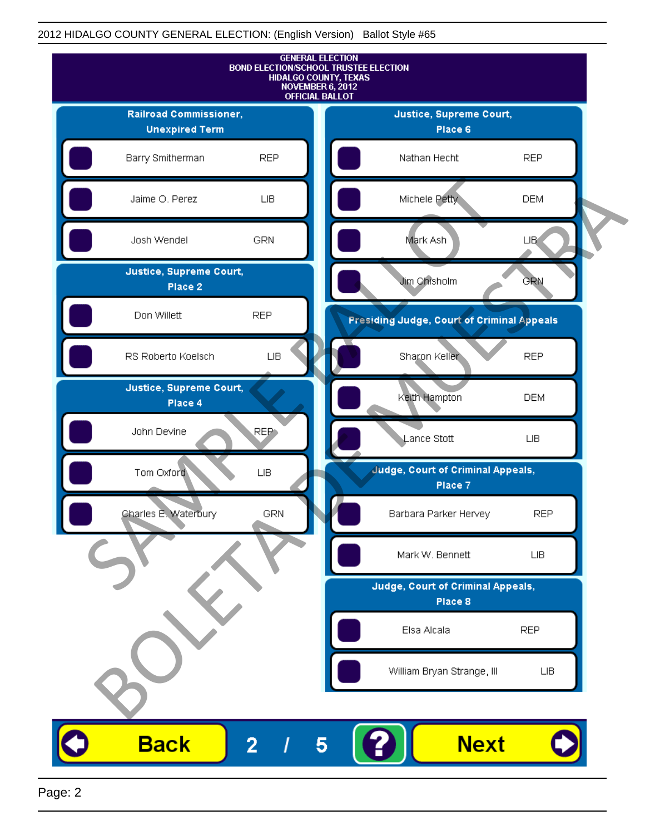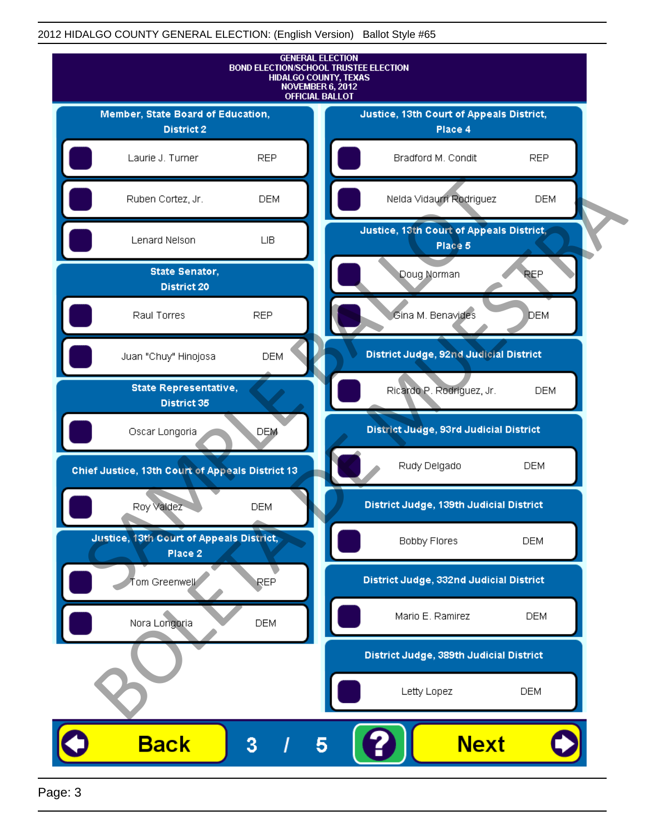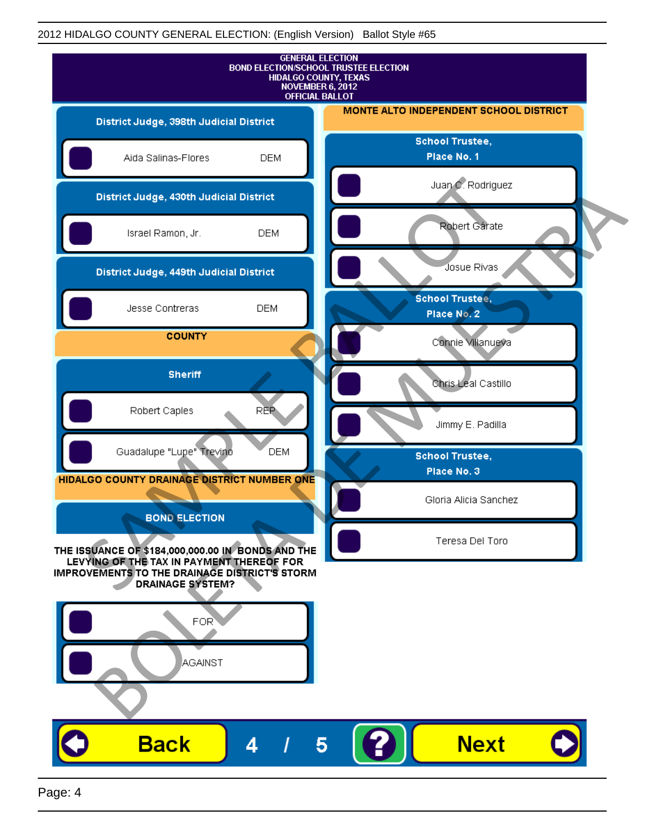| <b>GENERAL ELECTION</b><br><b>BOND ELECTION/SCHOOL TRUSTEE ELECTION</b><br>HIDALGO COUNTY, TEXAS<br>NOVEMBER 6, 2012<br><b>OFFICIAL BALLOT</b> |                                        |
|------------------------------------------------------------------------------------------------------------------------------------------------|----------------------------------------|
| District Judge, 398th Judicial District                                                                                                        | MONTE ALTO INDEPENDENT SCHOOL DISTRICT |
| Aida Salinas-Flores<br><b>DEM</b>                                                                                                              | <b>School Trustee,</b><br>Place No. 1  |
| District Judge, 430th Judicial District                                                                                                        | Juan C. Rodriguez                      |
| Israel Ramon, Jr.<br><b>DEM</b>                                                                                                                | Robert Gárate                          |
| District Judge, 449th Judicial District                                                                                                        | Josue Rivas                            |
| Jesse Contreras<br><b>DEM</b>                                                                                                                  | <b>School Trustee,</b><br>Place No. 2  |
| <b>COUNTY</b>                                                                                                                                  | Connie Villanueva                      |
| <b>Sheriff</b>                                                                                                                                 | Chris Leal Castillo                    |
| <b>REP</b><br>Robert Caples                                                                                                                    | Jimmy E. Padilla                       |
| Guadalupe "Lupe" Trevino<br><b>DEM</b>                                                                                                         | <b>School Trustee,</b><br>Place No. 3  |
| HIDALGO COUNTY DRAINAGE DISTRICT NUMBER ONE<br><b>BOND ELECTION</b>                                                                            | Gloria Alicia Sanchez                  |
| THE ISSUANCE OF \$184,000,000.00 IN BONDS AND THE                                                                                              | Teresa Del Toro                        |
| LEVYING OF THE TAX IN PAYMENT THEREOF FOR<br>IMPROVEMENTS TO THE DRAINAGE DISTRICT'S STORM<br><b>DRAINAGE SYSTEM?</b>                          |                                        |
| FOR <sup>®</sup><br>AGAINST                                                                                                                    |                                        |
|                                                                                                                                                |                                        |
| <b>Back</b><br>4                                                                                                                               | <b>Next</b>                            |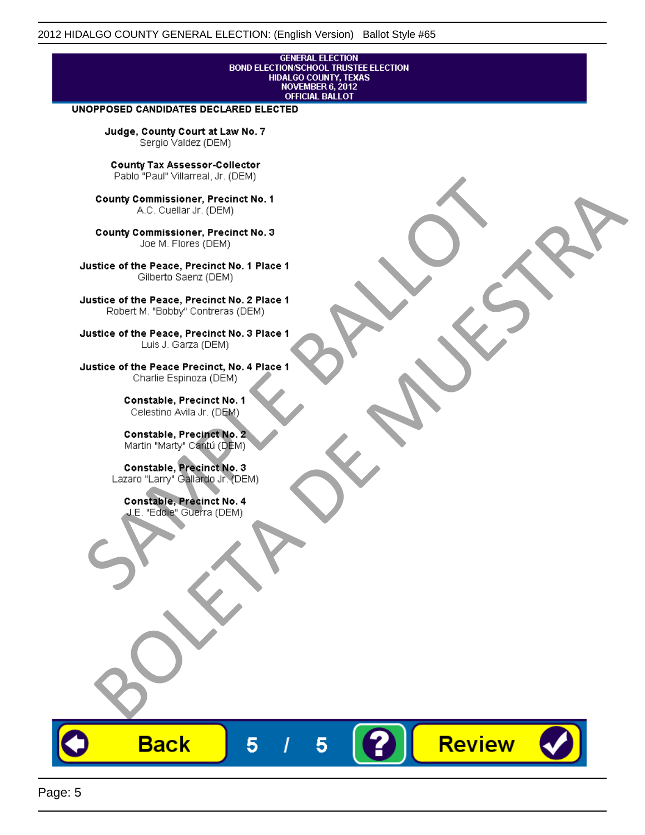# **GENERAL ELECTION** BOND ELECTION/SCHOOL TRUSTEE ELECTION<br>HIDALGO COUNTY, TEXAS<br>NOVEMBER 6, 2012<br>OFFICIAL BALLOT

Review

#### UNOPPOSED CANDIDATES DECLARED ELECTED

Judge, County Court at Law No. 7 Sergio Valdez (DEM)

County Tax Assessor-Collector

Frame The Passe, Precinct No. 1<br>
County Commissioner, Precinct No. 1<br>
SC. Cutellar Jr. (DEM)<br>
County Commissioner, Precinct No. 2<br>
Ulastice of the Peace, Precinct No. 2<br>
Ulastice of the Peace, Precinct No. 2<br>
Robert M. "Bl County Commissioner, Precinat No. 1<br>
A County Commissioner, Precinat No. 3<br>
Use of the Peace, Precinat No. 3<br>
Use of the Peace, Precinat No. 1<br>
There is a precinc No. 2<br>
There is a precinc No. 2<br>
There is a precinc No. 2<br>

**Back** 

5

5

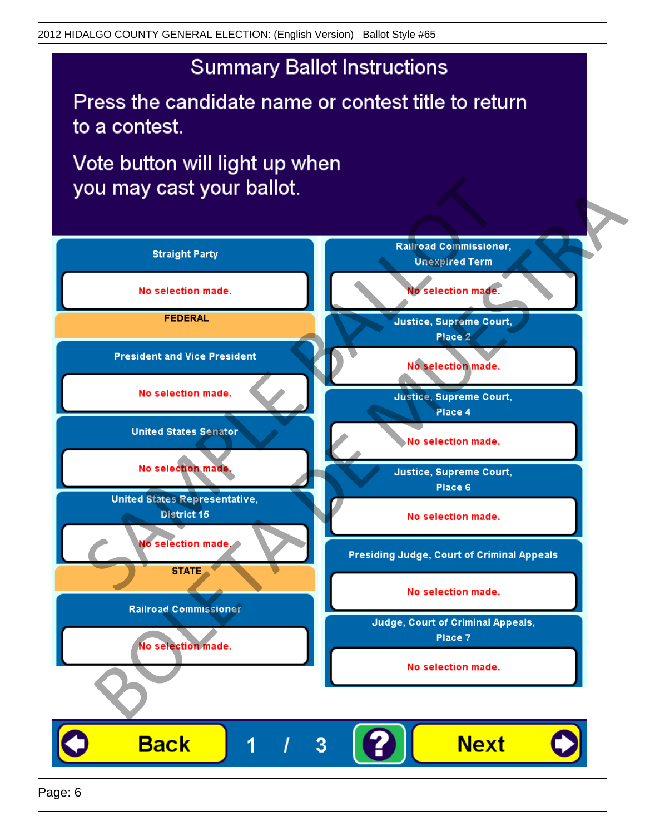## **Summary Ballot Instructions**

Press the candidate name or contest title to return to a contest.

Vote button will light up when

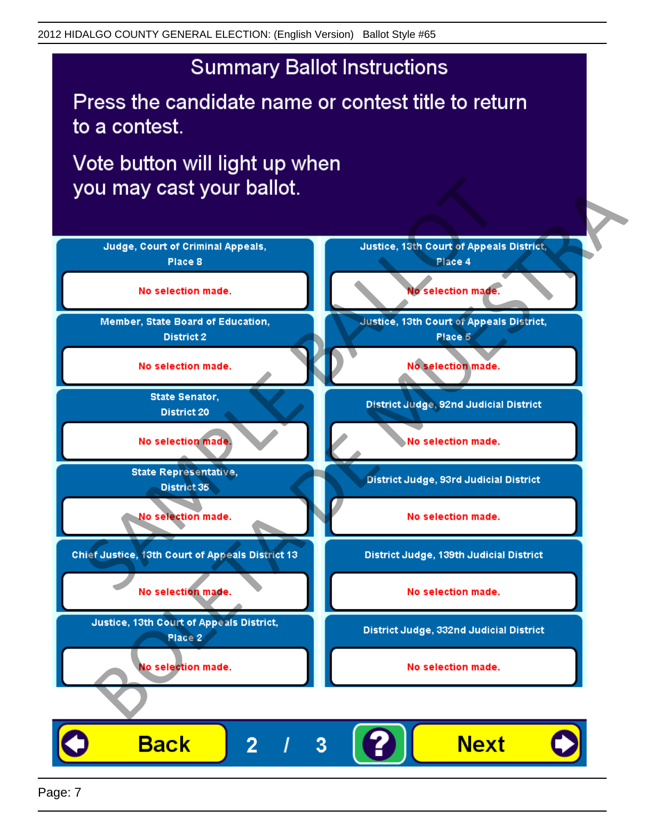## **Summary Ballot Instructions**

Press the candidate name or contest title to return to a contest.

Vote button will light up when